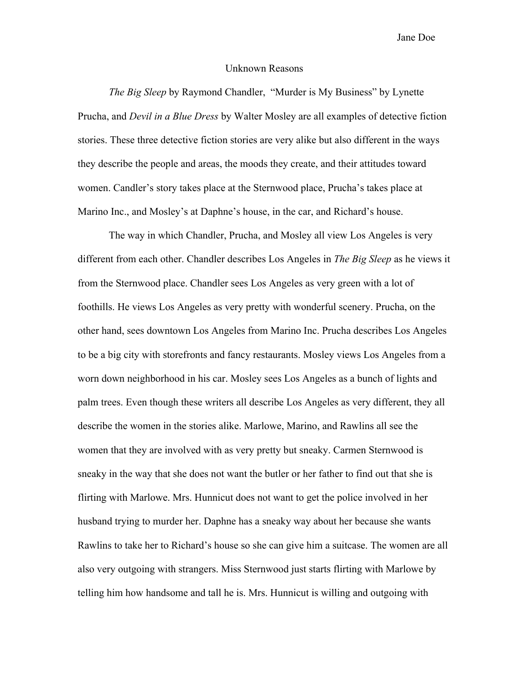Jane Doe

## Unknown Reasons

*The Big Sleep* by Raymond Chandler, "Murder is My Business" by Lynette Prucha, and *Devil in a Blue Dress* by Walter Mosley are all examples of detective fiction stories. These three detective fiction stories are very alike but also different in the ways they describe the people and areas, the moods they create, and their attitudes toward women. Candler's story takes place at the Sternwood place, Prucha's takes place at Marino Inc., and Mosley's at Daphne's house, in the car, and Richard's house.

The way in which Chandler, Prucha, and Mosley all view Los Angeles is very different from each other. Chandler describes Los Angeles in *The Big Sleep* as he views it from the Sternwood place. Chandler sees Los Angeles as very green with a lot of foothills. He views Los Angeles as very pretty with wonderful scenery. Prucha, on the other hand, sees downtown Los Angeles from Marino Inc. Prucha describes Los Angeles to be a big city with storefronts and fancy restaurants. Mosley views Los Angeles from a worn down neighborhood in his car. Mosley sees Los Angeles as a bunch of lights and palm trees. Even though these writers all describe Los Angeles as very different, they all describe the women in the stories alike. Marlowe, Marino, and Rawlins all see the women that they are involved with as very pretty but sneaky. Carmen Sternwood is sneaky in the way that she does not want the butler or her father to find out that she is flirting with Marlowe. Mrs. Hunnicut does not want to get the police involved in her husband trying to murder her. Daphne has a sneaky way about her because she wants Rawlins to take her to Richard's house so she can give him a suitcase. The women are all also very outgoing with strangers. Miss Sternwood just starts flirting with Marlowe by telling him how handsome and tall he is. Mrs. Hunnicut is willing and outgoing with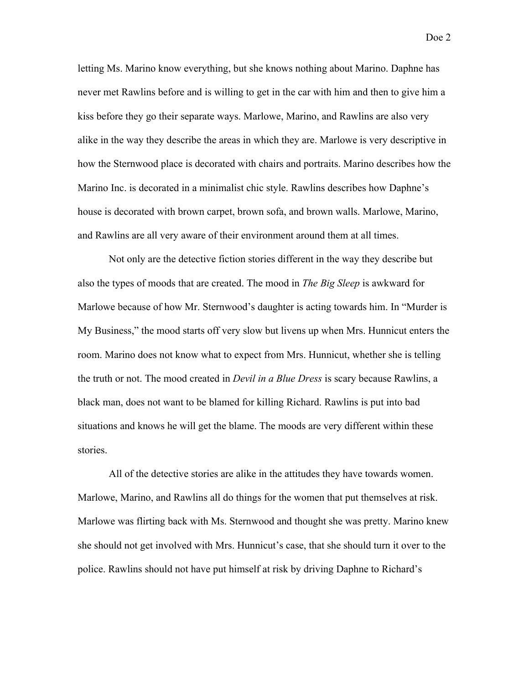letting Ms. Marino know everything, but she knows nothing about Marino. Daphne has never met Rawlins before and is willing to get in the car with him and then to give him a kiss before they go their separate ways. Marlowe, Marino, and Rawlins are also very alike in the way they describe the areas in which they are. Marlowe is very descriptive in how the Sternwood place is decorated with chairs and portraits. Marino describes how the Marino Inc. is decorated in a minimalist chic style. Rawlins describes how Daphne's house is decorated with brown carpet, brown sofa, and brown walls. Marlowe, Marino, and Rawlins are all very aware of their environment around them at all times.

Not only are the detective fiction stories different in the way they describe but also the types of moods that are created. The mood in *The Big Sleep* is awkward for Marlowe because of how Mr. Sternwood's daughter is acting towards him. In "Murder is My Business," the mood starts off very slow but livens up when Mrs. Hunnicut enters the room. Marino does not know what to expect from Mrs. Hunnicut, whether she is telling the truth or not. The mood created in *Devil in a Blue Dress* is scary because Rawlins, a black man, does not want to be blamed for killing Richard. Rawlins is put into bad situations and knows he will get the blame. The moods are very different within these stories.

All of the detective stories are alike in the attitudes they have towards women. Marlowe, Marino, and Rawlins all do things for the women that put themselves at risk. Marlowe was flirting back with Ms. Sternwood and thought she was pretty. Marino knew she should not get involved with Mrs. Hunnicut's case, that she should turn it over to the police. Rawlins should not have put himself at risk by driving Daphne to Richard's